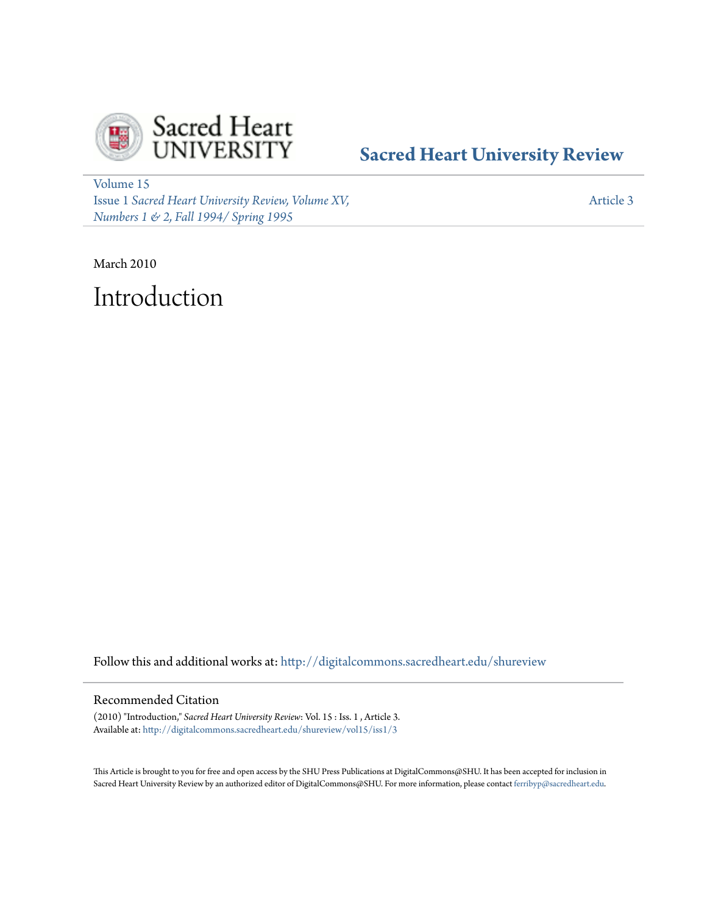

## **[Sacred Heart University Review](http://digitalcommons.sacredheart.edu/shureview?utm_source=digitalcommons.sacredheart.edu%2Fshureview%2Fvol15%2Fiss1%2F3&utm_medium=PDF&utm_campaign=PDFCoverPages)**

[Volume 15](http://digitalcommons.sacredheart.edu/shureview/vol15?utm_source=digitalcommons.sacredheart.edu%2Fshureview%2Fvol15%2Fiss1%2F3&utm_medium=PDF&utm_campaign=PDFCoverPages) Issue 1 *[Sacred Heart University Review, Volume XV,](http://digitalcommons.sacredheart.edu/shureview/vol15/iss1?utm_source=digitalcommons.sacredheart.edu%2Fshureview%2Fvol15%2Fiss1%2F3&utm_medium=PDF&utm_campaign=PDFCoverPages) [Numbers 1 & 2, Fall 1994/ Spring 1995](http://digitalcommons.sacredheart.edu/shureview/vol15/iss1?utm_source=digitalcommons.sacredheart.edu%2Fshureview%2Fvol15%2Fiss1%2F3&utm_medium=PDF&utm_campaign=PDFCoverPages)*

[Article 3](http://digitalcommons.sacredheart.edu/shureview/vol15/iss1/3?utm_source=digitalcommons.sacredheart.edu%2Fshureview%2Fvol15%2Fiss1%2F3&utm_medium=PDF&utm_campaign=PDFCoverPages)

March 2010 Introduction

Follow this and additional works at: [http://digitalcommons.sacredheart.edu/shureview](http://digitalcommons.sacredheart.edu/shureview?utm_source=digitalcommons.sacredheart.edu%2Fshureview%2Fvol15%2Fiss1%2F3&utm_medium=PDF&utm_campaign=PDFCoverPages)

## Recommended Citation

(2010) "Introduction," *Sacred Heart University Review*: Vol. 15 : Iss. 1 , Article 3. Available at: [http://digitalcommons.sacredheart.edu/shureview/vol15/iss1/3](http://digitalcommons.sacredheart.edu/shureview/vol15/iss1/3?utm_source=digitalcommons.sacredheart.edu%2Fshureview%2Fvol15%2Fiss1%2F3&utm_medium=PDF&utm_campaign=PDFCoverPages)

This Article is brought to you for free and open access by the SHU Press Publications at DigitalCommons@SHU. It has been accepted for inclusion in Sacred Heart University Review by an authorized editor of DigitalCommons@SHU. For more information, please contact [ferribyp@sacredheart.edu](mailto:ferribyp@sacredheart.edu).